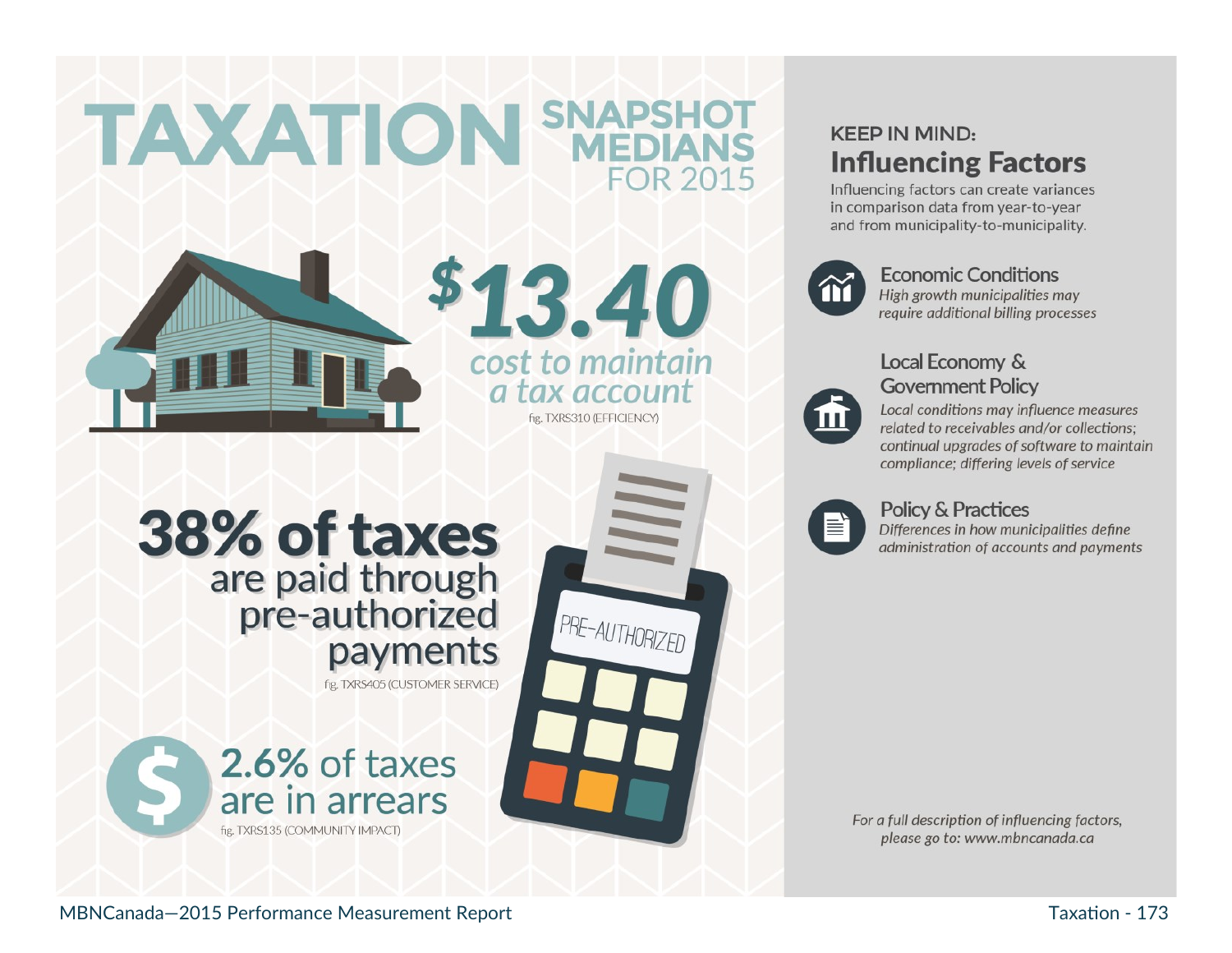# **TAXATION SNAPSHOT FOR 2015**



\$13.40 cost to maintain a tax account fig. TXRS310 (EFFICIENCY)

PRE-AUTHORIZED

# **38% of taxes** are paid through<br>pre-authorized payments

fig. TXRS405 (CUSTOMER SERVICE)



## **KEEP IN MIND: Influencing Factors**

Influencing factors can create variances in comparison data from year-to-year and from municipality-to-municipality.



#### **Economic Conditions**

High growth municipalities may require additional billing processes

### Local Economy & **Government Policy**

 $\blacksquare$ 

Local conditions may influence measures related to receivables and/or collections: continual upgrades of software to maintain compliance; differing levels of service



#### **Policy & Practices**

Differences in how municipalities define administration of accounts and payments

For a full description of influencing factors, please go to: www.mbncanada.ca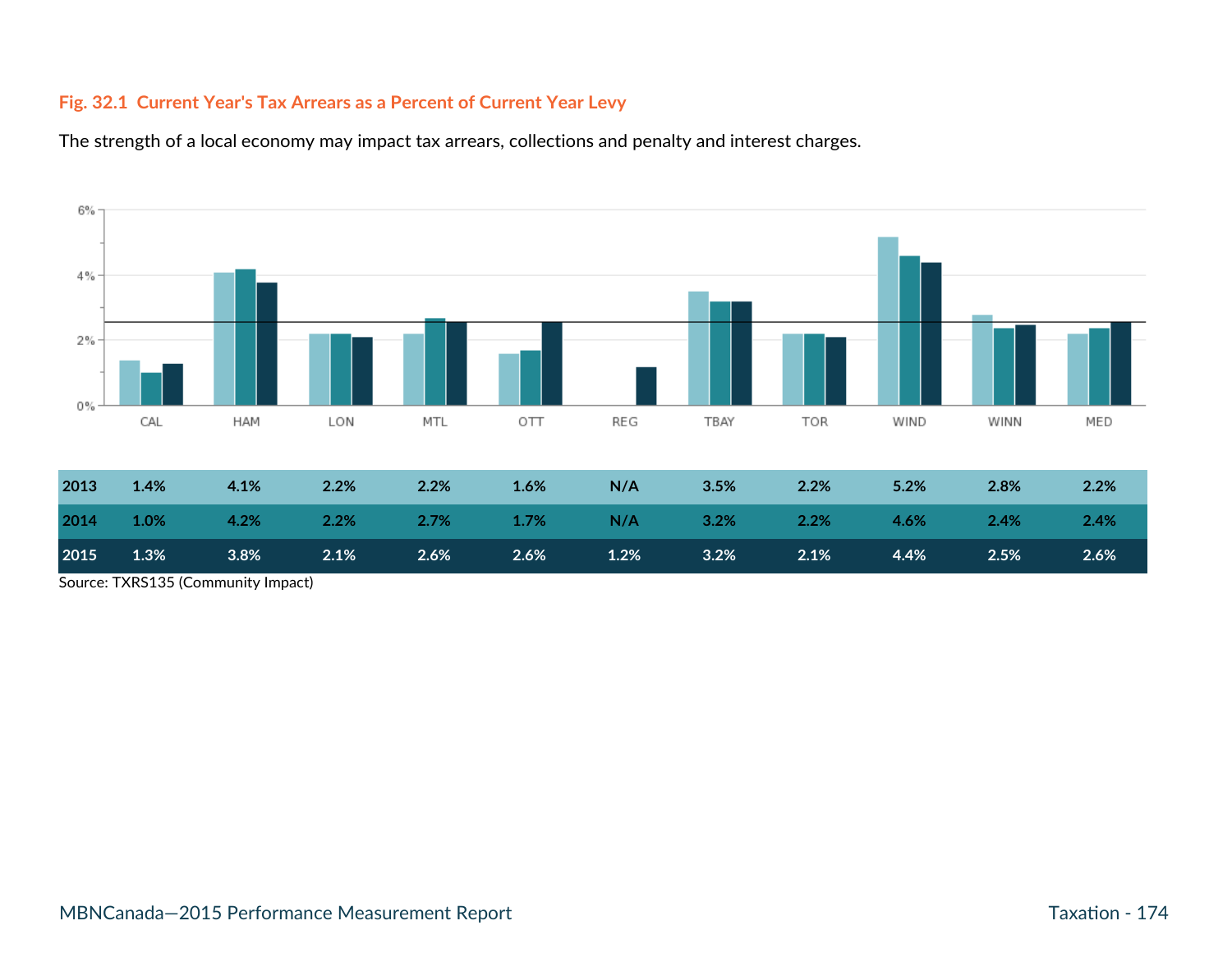#### **Fig. 32.1 Current Year's Tax Arrears as a Percent of Current Year Levy**

The strength of a local economy may impact tax arrears, collections and penalty and interest charges.



| 2013 | $1.4\%$ | $4.1\%$ | $2.2\%$                                                | <b>2.2%</b> 1.6% | N/A     | $3.5\%$ 2.2% | 5.2% | 2.8%                                                     | 2.2% |
|------|---------|---------|--------------------------------------------------------|------------------|---------|--------------|------|----------------------------------------------------------|------|
| 2014 |         |         |                                                        |                  |         |              |      | $1.0\%$ 4.2% 2.2% 2.7% 1.7% N/A 3.2% 2.2% 4.6% 2.4% 2.4% |      |
| 2015 | 1.3%    | $3.8\%$ | $\overline{\phantom{1}}$ 2.1% $\overline{\phantom{1}}$ | $2.6\%$ $2.6\%$  | $1.2\%$ | $3.2\%$ 2.1% | 4.4% | 2.5%                                                     | 2.6% |

Source: TXRS135 (Community Impact)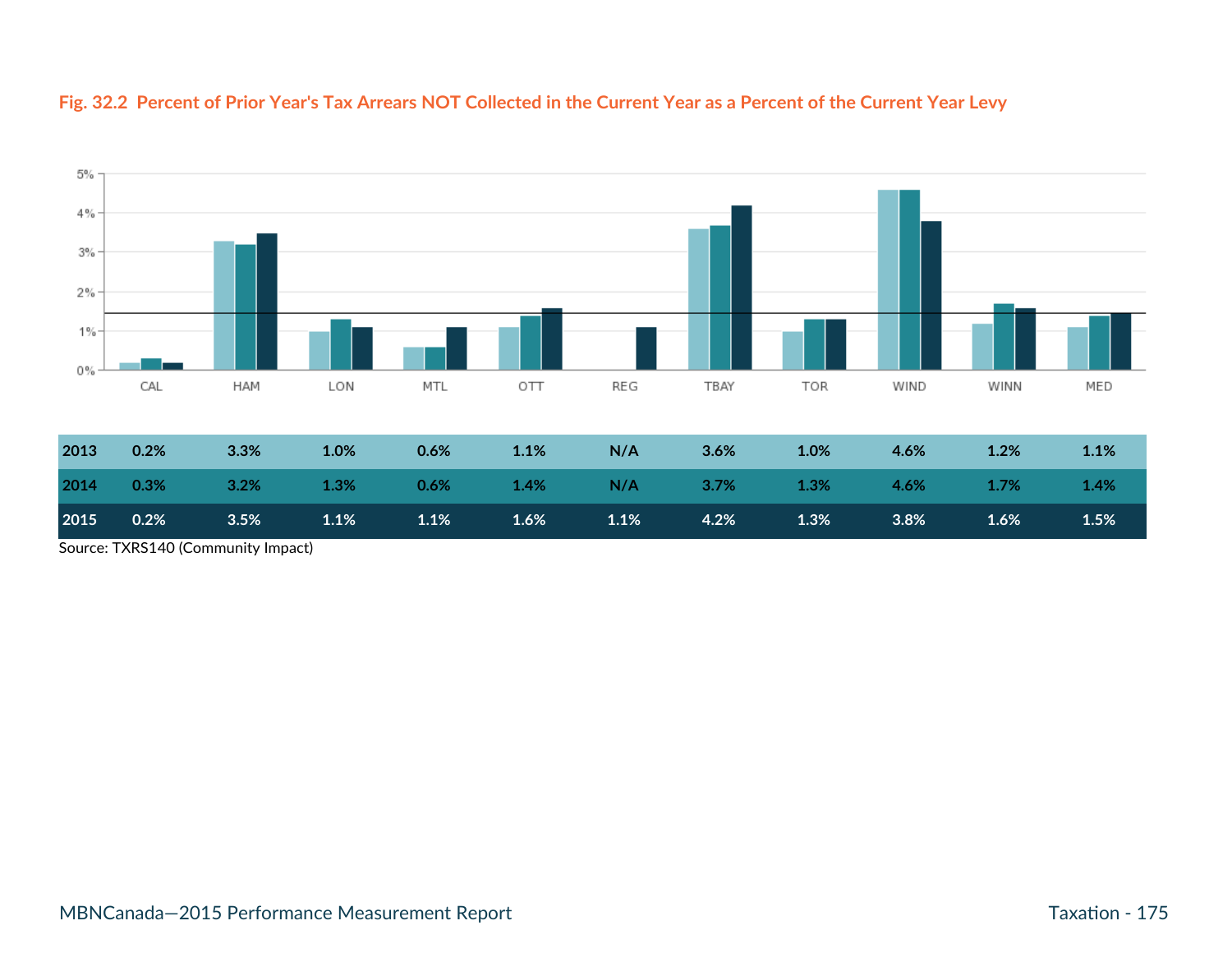

#### **Fig. 32.2 Percent of Prior Year's Tax Arrears NOT Collected in the Current Year as a Percent of the Current Year Levy**

| 2013 | 0.2%    | 3.3%    | 1.0% | 0.6%             | 1.1% | N/A  | 3.6%             | 1.0% | 4.6% | 1.2% | 1.1% |
|------|---------|---------|------|------------------|------|------|------------------|------|------|------|------|
| 2014 | $0.3\%$ | $3.2\%$ | 1.3% | $0.6\%$ 1.4% N/A |      |      | <b>3.7%</b> 1.3% |      | 4.6% | 1.7% | 1.4% |
| 2015 | 0.2%    | 3.5%    | 1.1% | 1.1%             | 1.6% | 1.1% | 4.2%             | 1.3% | 3.8% | 1.6% | 1.5% |

Source: TXRS140 (Community Impact)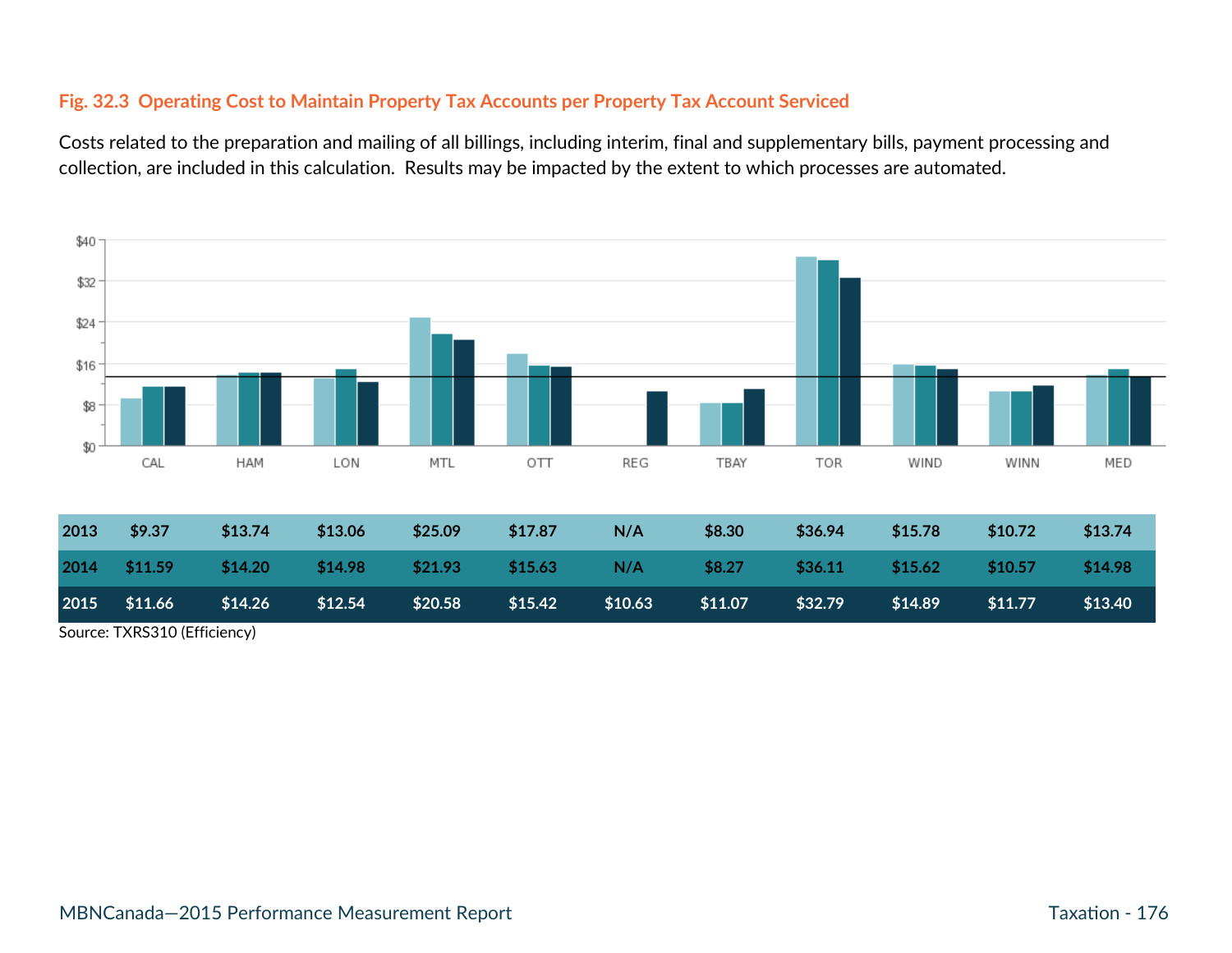#### **Fig. 32.3 Operating Cost to Maintain Property Tax Accounts per Property Tax Account Serviced**

Costs related to the preparation and mailing of all billings, including interim, final and supplementary bills, payment processing and collection, are included in this calculation. Results may be impacted by the extent to which processes are automated.



Source: TXRS310 (Efficiency)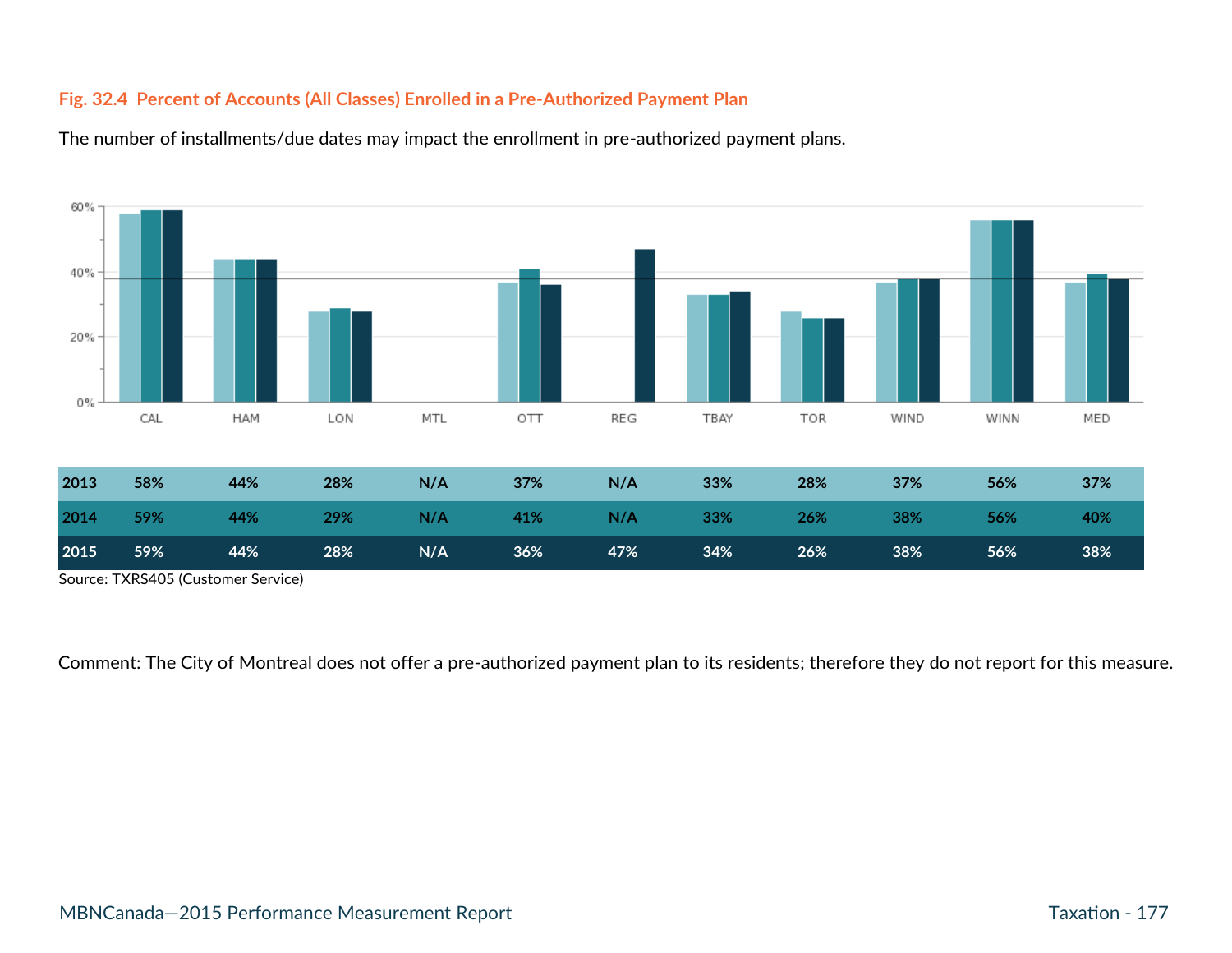#### **Fig. 32.4 Percent of Accounts (All Classes) Enrolled in a Pre-Authorized Payment Plan**



The number of installments/due dates may impact the enrollment in pre-authorized payment plans.

Source: TXRS405 (Customer Service)

Comment: The City of Montreal does not offer a pre-authorized payment plan to its residents; therefore they do not report for this measure.